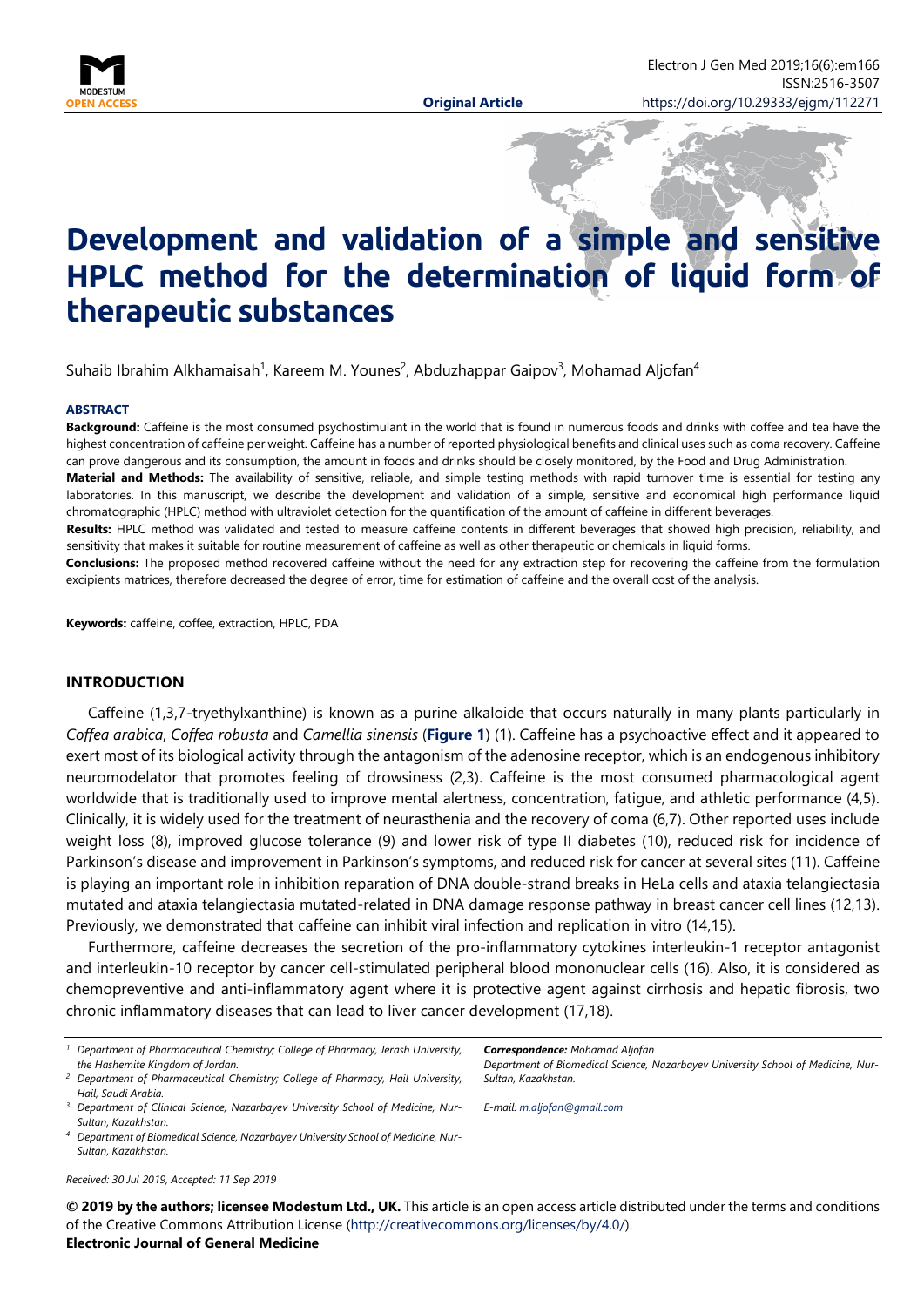

# **Development and validation of a simple and sensitive HPLC method for the determination of liquid form of therapeutic substances**

Suhaib Ibrahim Alkhamaisah<sup>1</sup>, Kareem M. Younes<sup>2</sup>, Abduzhappar Gaipov<sup>3</sup>, Mohamad Aljofan<sup>4</sup>

#### **ABSTRACT**

**Background:** Caffeine is the most consumed psychostimulant in the world that is found in numerous foods and drinks with coffee and tea have the highest concentration of caffeine per weight. Caffeine has a number of reported physiological benefits and clinical uses such as coma recovery. Caffeine can prove dangerous and its consumption, the amount in foods and drinks should be closely monitored, by the Food and Drug Administration. **Material and Methods:** The availability of sensitive, reliable, and simple testing methods with rapid turnover time is essential for testing any laboratories. In this manuscript, we describe the development and validation of a simple, sensitive and economical high performance liquid chromatographic (HPLC) method with ultraviolet detection for the quantification of the amount of caffeine in different beverages. **Results:** HPLC method was validated and tested to measure caffeine contents in different beverages that showed high precision, reliability, and sensitivity that makes it suitable for routine measurement of caffeine as well as other therapeutic or chemicals in liquid forms.

**Conclusions:** The proposed method recovered caffeine without the need for any extraction step for recovering the caffeine from the formulation excipients matrices, therefore decreased the degree of error, time for estimation of caffeine and the overall cost of the analysis.

**Keywords:** caffeine, coffee, extraction, HPLC, PDA

### **INTRODUCTION**

Caffeine (1,3,7-tryethylxanthine) is known as a purine alkaloide that occurs naturally in many plants particularly in *Coffea arabica*, *Coffea robusta* and *Camellia sinensis* (**Figure 1**) (1). Caffeine has a psychoactive effect and it appeared to exert most of its biological activity through the antagonism of the adenosine receptor, which is an endogenous inhibitory neuromodelator that promotes feeling of drowsiness (2,3). Caffeine is the most consumed pharmacological agent worldwide that is traditionally used to improve mental alertness, concentration, fatigue, and athletic performance (4,5). Clinically, it is widely used for the treatment of neurasthenia and the recovery of coma (6,7). Other reported uses include weight loss (8), improved glucose tolerance (9) and lower risk of type II diabetes (10), reduced risk for incidence of Parkinson's disease and improvement in Parkinson's symptoms, and reduced risk for cancer at several sites (11). Caffeine is playing an important role in inhibition reparation of DNA double-strand breaks in HeLa cells and ataxia telangiectasia mutated and ataxia telangiectasia mutated-related in DNA damage response pathway in breast cancer cell lines (12,13). Previously, we demonstrated that caffeine can inhibit viral infection and replication in vitro (14,15).

Furthermore, caffeine decreases the secretion of the pro-inflammatory cytokines interleukin-1 receptor antagonist and interleukin-10 receptor by cancer cell-stimulated peripheral blood mononuclear cells (16). Also, it is considered as chemopreventive and anti-inflammatory agent where it is protective agent against cirrhosis and hepatic fibrosis, two chronic inflammatory diseases that can lead to liver cancer development (17,18).

- *<sup>1</sup> Department of Pharmaceutical Chemistry; College of Pharmacy, Jerash University, the Hashemite Kingdom of Jordan.*
- *<sup>2</sup> Department of Pharmaceutical Chemistry; College of Pharmacy, Hail University, Hail, Saudi Arabia.*

*Received: 30 Jul 2019, Accepted: 11 Sep 2019*

*Correspondence: Mohamad Aljofan*

*Department of Biomedical Science, Nazarbayev University School of Medicine, Nur-Sultan, Kazakhstan.*

*E-mail: [m.aljofan@gmail.com](mailto:m.aljofan@gmail.com)*

**© 2019 by the authors; licensee Modestum Ltd., UK.** This article is an open access article distributed under the terms and conditions of the Creative Commons Attribution License [\(http://creativecommons.org/licenses/by/4.0/\)](http://creativecommons.org/licenses/by/4.0/).

#### **Electronic Journal of General Medicine**

*<sup>3</sup> Department of Clinical Science, Nazarbayev University School of Medicine, Nur-Sultan, Kazakhstan.*

*<sup>4</sup> Department of Biomedical Science, Nazarbayev University School of Medicine, Nur-Sultan, Kazakhstan.*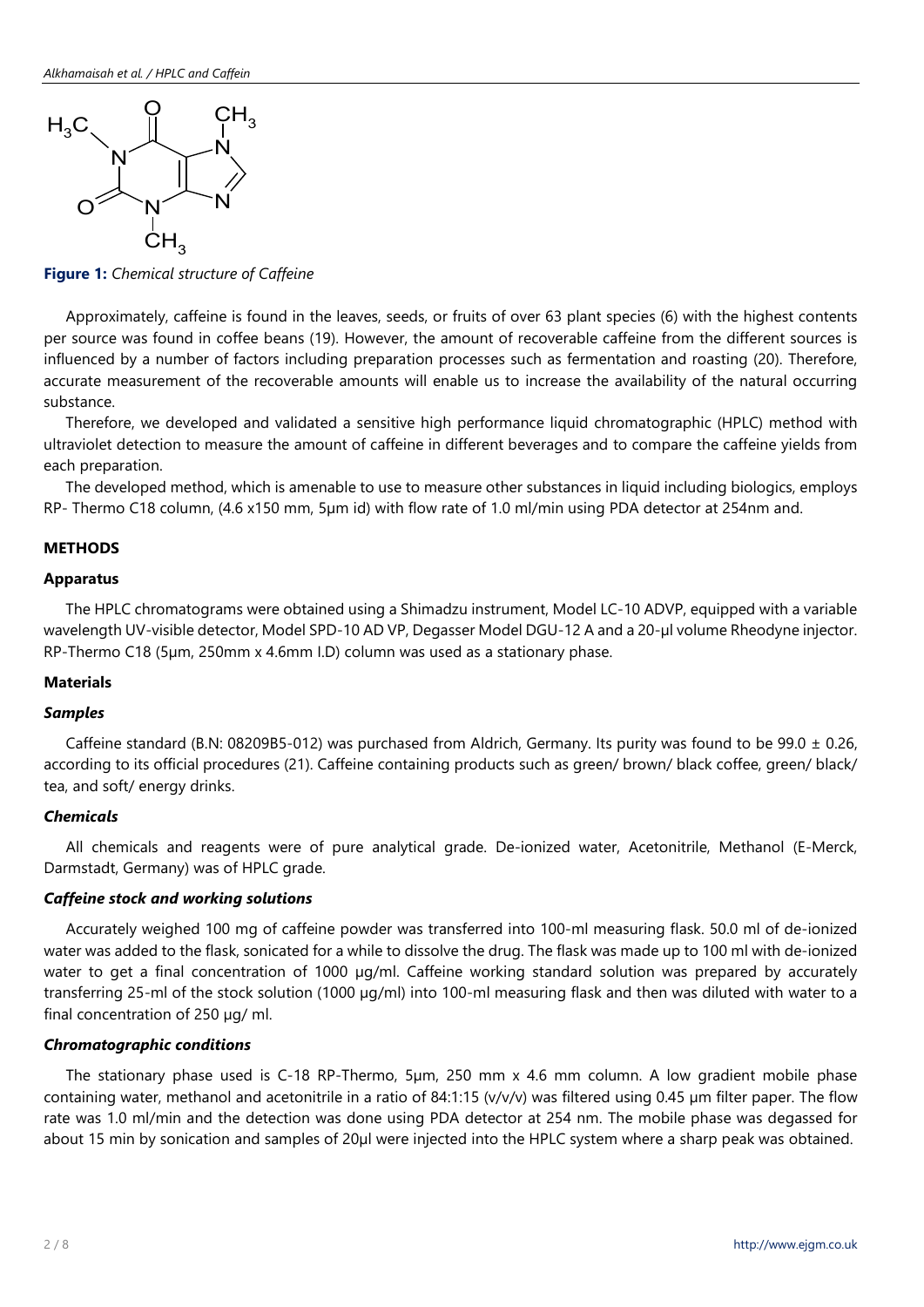

**Figure 1:** *Chemical structure of Caffeine*

Approximately, caffeine is found in the leaves, seeds, or fruits of over 63 plant species (6) with the highest contents per source was found in coffee beans (19). However, the amount of recoverable caffeine from the different sources is influenced by a number of factors including preparation processes such as fermentation and roasting (20). Therefore, accurate measurement of the recoverable amounts will enable us to increase the availability of the natural occurring substance.

Therefore, we developed and validated a sensitive high performance liquid chromatographic (HPLC) method with ultraviolet detection to measure the amount of caffeine in different beverages and to compare the caffeine yields from each preparation.

The developed method, which is amenable to use to measure other substances in liquid including biologics, employs RP- Thermo C18 column, (4.6 x150 mm, 5µm id) with flow rate of 1.0 ml/min using PDA detector at 254nm and.

# **METHODS**

#### **Apparatus**

The HPLC chromatograms were obtained using a Shimadzu instrument, Model LC-10 ADVP, equipped with a variable wavelength UV-visible detector, Model SPD-10 AD VP, Degasser Model DGU-12 A and a 20-µl volume Rheodyne injector. RP-Thermo C18 (5µm, 250mm x 4.6mm I.D) column was used as a stationary phase.

#### **Materials**

#### *Samples*

Caffeine standard (B.N: 08209B5-012) was purchased from Aldrich, Germany. Its purity was found to be 99.0  $\pm$  0.26, according to its official procedures (21). Caffeine containing products such as green/ brown/ black coffee, green/ black/ tea, and soft/ energy drinks.

# *Chemicals*

All chemicals and reagents were of pure analytical grade. De-ionized water, Acetonitrile, Methanol (E-Merck, Darmstadt, Germany) was of HPLC grade.

# *Caffeine stock and working solutions*

Accurately weighed 100 mg of caffeine powder was transferred into 100-ml measuring flask. 50.0 ml of de-ionized water was added to the flask, sonicated for a while to dissolve the drug. The flask was made up to 100 ml with de-ionized water to get a final concentration of 1000 µg/ml. Caffeine working standard solution was prepared by accurately transferring 25-ml of the stock solution (1000 µg/ml) into 100-ml measuring flask and then was diluted with water to a final concentration of 250 µg/ ml.

## *Chromatographic conditions*

The stationary phase used is C-18 RP-Thermo, 5µm, 250 mm x 4.6 mm column. A low gradient mobile phase containing water, methanol and acetonitrile in a ratio of 84:1:15 (v/v/v) was filtered using 0.45 µm filter paper. The flow rate was 1.0 ml/min and the detection was done using PDA detector at 254 nm. The mobile phase was degassed for about 15 min by sonication and samples of 20µl were injected into the HPLC system where a sharp peak was obtained.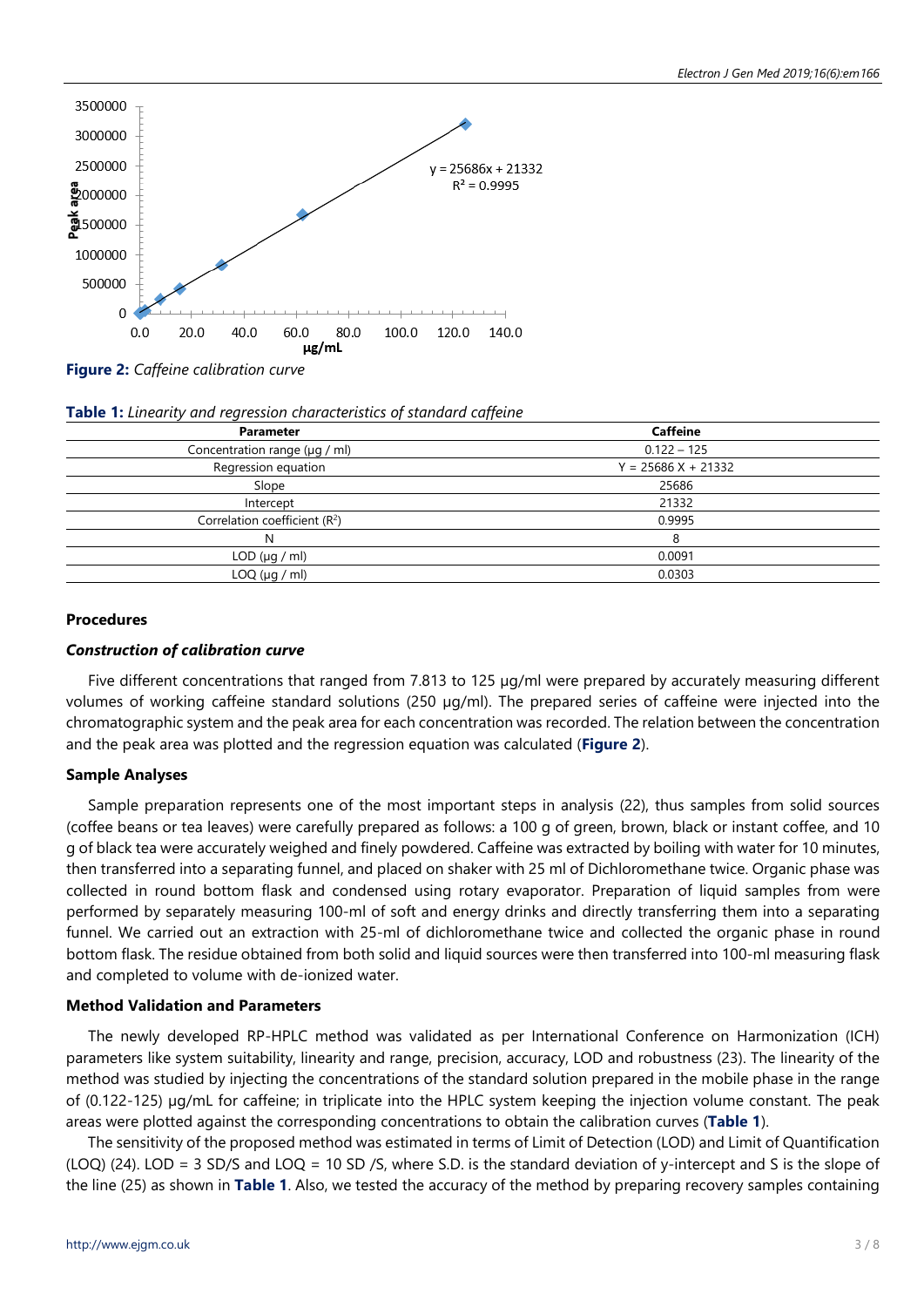

**Figure 2:** *Caffeine calibration curve*

|  | Table 1: Linearity and regression characteristics of standard caffeine |  |  |
|--|------------------------------------------------------------------------|--|--|
|  |                                                                        |  |  |

| <b>Parameter</b>                   | <b>Caffeine</b>      |  |
|------------------------------------|----------------------|--|
| Concentration range $(\mu q / ml)$ | $0.122 - 125$        |  |
| Regression equation                | $Y = 25686X + 21332$ |  |
| Slope                              | 25686                |  |
| Intercept                          | 21332                |  |
| Correlation coefficient $(R2)$     | 0.9995               |  |
| N                                  | 8                    |  |
| $LOD$ ( $\mu$ g / ml)              | 0.0091               |  |
| LOQ ( $\mu$ g / ml)                | 0.0303               |  |
|                                    |                      |  |

# **Procedures**

# *Construction of calibration curve*

Five different concentrations that ranged from 7.813 to 125 µg/ml were prepared by accurately measuring different volumes of working caffeine standard solutions (250 µg/ml). The prepared series of caffeine were injected into the chromatographic system and the peak area for each concentration was recorded. The relation between the concentration and the peak area was plotted and the regression equation was calculated (**Figure 2**).

# **Sample Analyses**

Sample preparation represents one of the most important steps in analysis (22), thus samples from solid sources (coffee beans or tea leaves) were carefully prepared as follows: a 100 g of green, brown, black or instant coffee, and 10 g of black tea were accurately weighed and finely powdered. Caffeine was extracted by boiling with water for 10 minutes, then transferred into a separating funnel, and placed on shaker with 25 ml of Dichloromethane twice. Organic phase was collected in round bottom flask and condensed using rotary evaporator. Preparation of liquid samples from were performed by separately measuring 100-ml of soft and energy drinks and directly transferring them into a separating funnel. We carried out an extraction with 25-ml of dichloromethane twice and collected the organic phase in round bottom flask. The residue obtained from both solid and liquid sources were then transferred into 100-ml measuring flask and completed to volume with de-ionized water.

## **Method Validation and Parameters**

The newly developed RP-HPLC method was validated as per International Conference on Harmonization (ICH) parameters like system suitability, linearity and range, precision, accuracy, LOD and robustness (23). The linearity of the method was studied by injecting the concentrations of the standard solution prepared in the mobile phase in the range of (0.122-125) µg/mL for caffeine; in triplicate into the HPLC system keeping the injection volume constant. The peak areas were plotted against the corresponding concentrations to obtain the calibration curves (**Table 1**).

The sensitivity of the proposed method was estimated in terms of Limit of Detection (LOD) and Limit of Quantification (LOQ) (24). LOD = 3 SD/S and LOQ = 10 SD /S, where S.D. is the standard deviation of y-intercept and S is the slope of the line (25) as shown in **Table 1**. Also, we tested the accuracy of the method by preparing recovery samples containing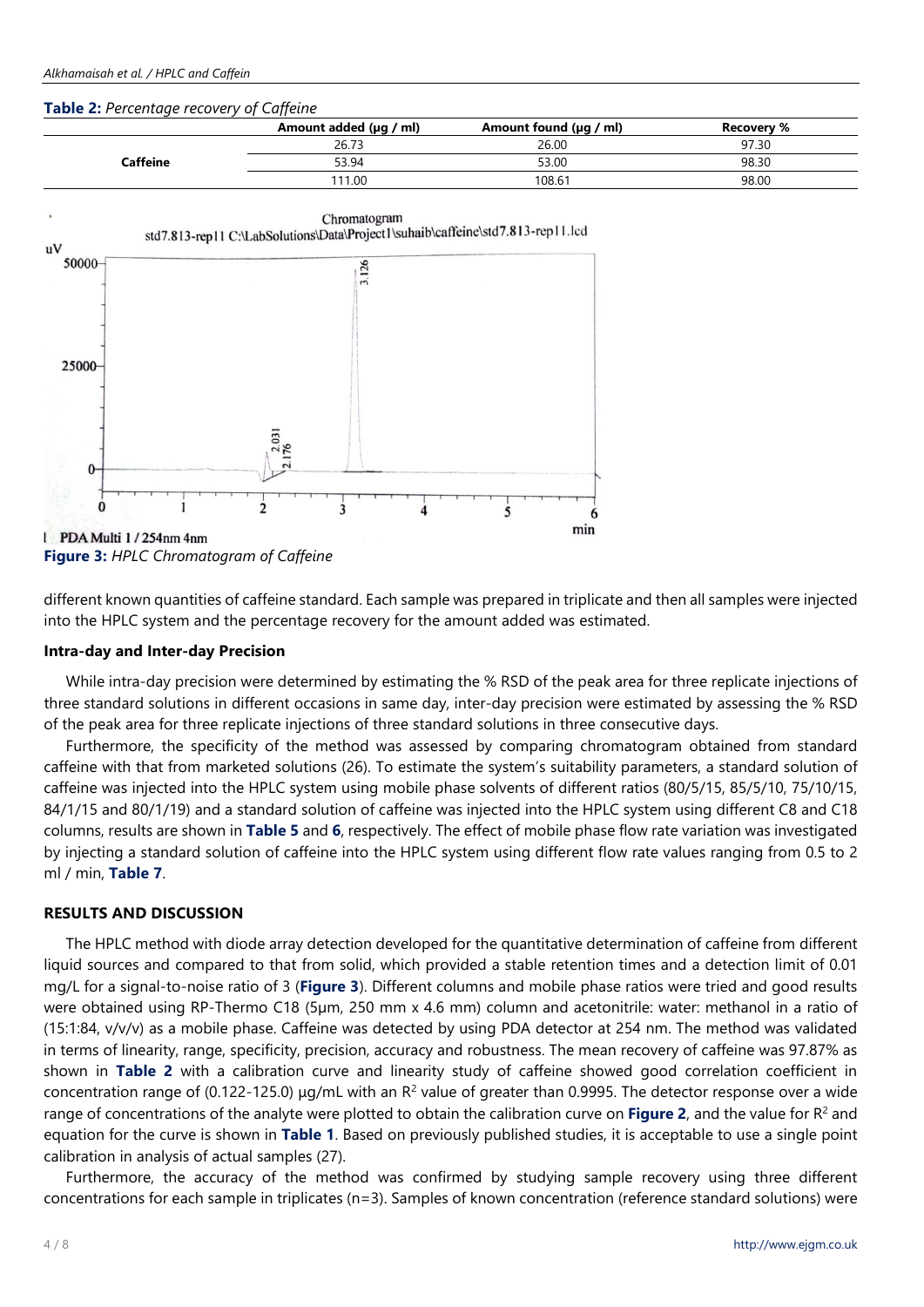## **Table 2:** *Percentage recovery of Caffeine*

|          | .                      |                             |                   |
|----------|------------------------|-----------------------------|-------------------|
|          | Amount added (µg / ml) | Amount found $(\mu q / ml)$ | <b>Recovery %</b> |
|          | 26.73                  | 26.00                       | 97.30             |
| Caffeine | 53.94                  | 53.00                       | 98.30             |
|          | 111.00                 | 108.61                      | 98.00             |
|          |                        |                             |                   |



**Figure 3:** *HPLC Chromatogram of Caffeine*

different known quantities of caffeine standard. Each sample was prepared in triplicate and then all samples were injected into the HPLC system and the percentage recovery for the amount added was estimated.

# **Intra-day and Inter-day Precision**

While intra-day precision were determined by estimating the % RSD of the peak area for three replicate injections of three standard solutions in different occasions in same day, inter-day precision were estimated by assessing the % RSD of the peak area for three replicate injections of three standard solutions in three consecutive days.

Furthermore, the specificity of the method was assessed by comparing chromatogram obtained from standard caffeine with that from marketed solutions (26). To estimate the system's suitability parameters, a standard solution of caffeine was injected into the HPLC system using mobile phase solvents of different ratios (80/5/15, 85/5/10, 75/10/15, 84/1/15 and 80/1/19) and a standard solution of caffeine was injected into the HPLC system using different C8 and C18 columns, results are shown in **Table 5** and **6**, respectively. The effect of mobile phase flow rate variation was investigated by injecting a standard solution of caffeine into the HPLC system using different flow rate values ranging from 0.5 to 2 ml / min, **Table 7**.

# **RESULTS AND DISCUSSION**

The HPLC method with diode array detection developed for the quantitative determination of caffeine from different liquid sources and compared to that from solid, which provided a stable retention times and a detection limit of 0.01 mg/L for a signal-to-noise ratio of 3 (**Figure 3**). Different columns and mobile phase ratios were tried and good results were obtained using RP-Thermo C18 (5µm, 250 mm x 4.6 mm) column and acetonitrile: water: methanol in a ratio of (15:1:84, v/v/v) as a mobile phase. Caffeine was detected by using PDA detector at 254 nm. The method was validated in terms of linearity, range, specificity, precision, accuracy and robustness. The mean recovery of caffeine was 97.87% as shown in **Table 2** with a calibration curve and linearity study of caffeine showed good correlation coefficient in concentration range of (0.122-125.0)  $\mu q/mL$  with an R<sup>2</sup> value of greater than 0.9995. The detector response over a wide range of concentrations of the analyte were plotted to obtain the calibration curve on **Figure 2**, and the value for R2 and equation for the curve is shown in **Table 1**. Based on previously published studies, it is acceptable to use a single point calibration in analysis of actual samples (27).

Furthermore, the accuracy of the method was confirmed by studying sample recovery using three different concentrations for each sample in triplicates (n=3). Samples of known concentration (reference standard solutions) were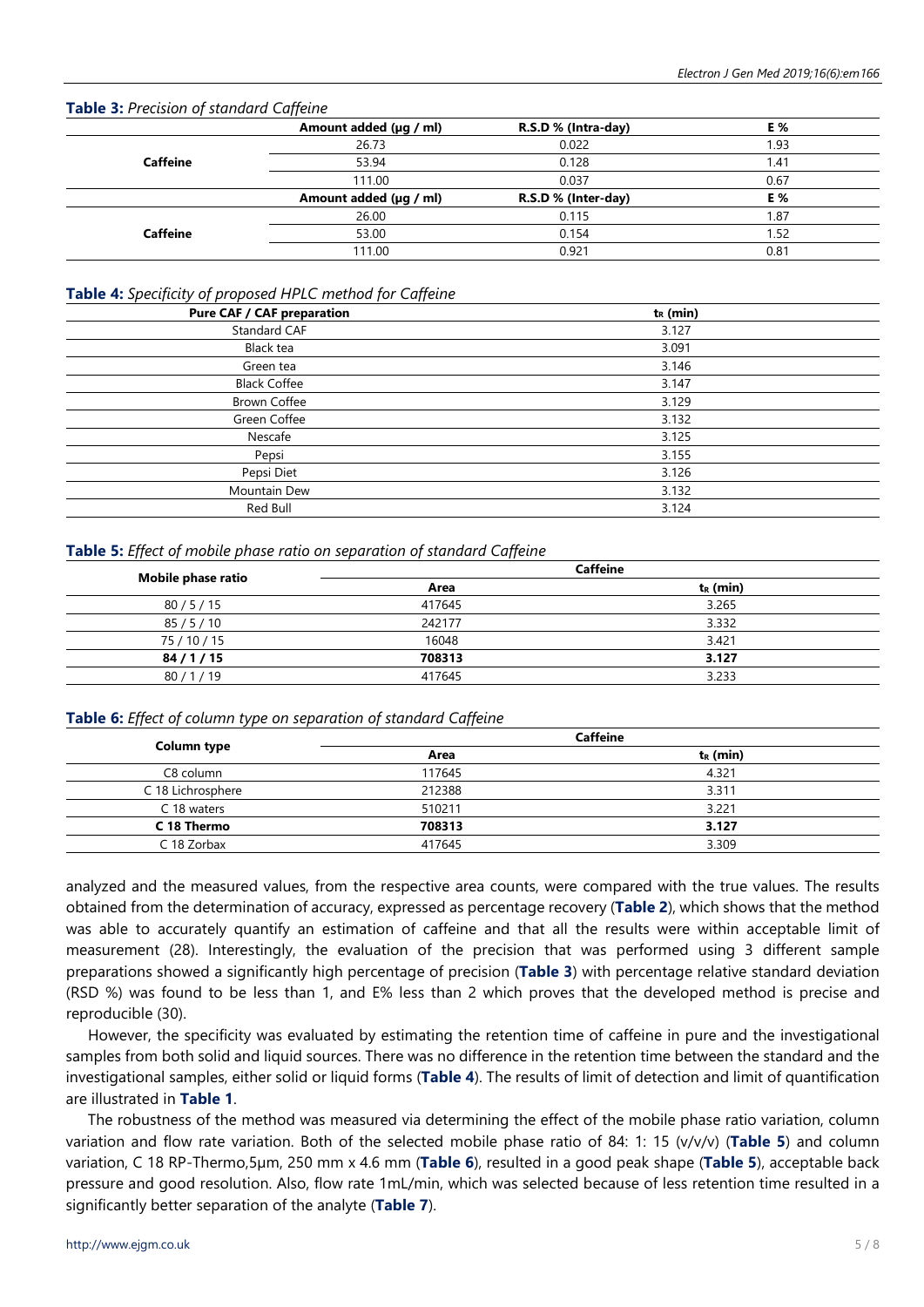# **Table 3:** *Precision of standard Caffeine*

|                 | Amount added (µg / ml) | R.S.D % (Intra-day) | E %  |
|-----------------|------------------------|---------------------|------|
| <b>Caffeine</b> | 26.73                  | 0.022               | 1.93 |
|                 | 53.94                  | 0.128               | l.41 |
|                 | 111.00                 | 0.037               | 0.67 |
|                 | Amount added (µg / ml) | R.S.D % (Inter-day) | E %  |
|                 | 26.00                  | 0.115               | 1.87 |
| <b>Caffeine</b> | 53.00                  | 0.154               | . 52 |
|                 | 111.00                 | 0.921               | 0.81 |

### **Table 4:** *Specificity of proposed HPLC method for Caffeine*

| $t_R$ (min) |
|-------------|
| 3.127       |
| 3.091       |
| 3.146       |
| 3.147       |
| 3.129       |
| 3.132       |
| 3.125       |
| 3.155       |
| 3.126       |
| 3.132       |
| 3.124       |
|             |

# **Table 5:** *Effect of mobile phase ratio on separation of standard Caffeine*

|                    |        | <b>Caffeine</b> |  |
|--------------------|--------|-----------------|--|
| Mobile phase ratio | Area   | $t_R$ (min)     |  |
| 80/5/15            | 417645 | 3.265           |  |
| 85/5/10            | 242177 | 3.332           |  |
| 75 / 10 / 15       | 16048  | 3.421           |  |
| 84/1/15            | 708313 | 3.127           |  |
| 80/1/19            | 417645 | 3.233           |  |

## **Table 6:** *Effect of column type on separation of standard Caffeine*

|                   |        | <b>Caffeine</b> |
|-------------------|--------|-----------------|
| Column type       | Area   | $t_R$ (min)     |
| C8 column         | 117645 | 4.321           |
| C 18 Lichrosphere | 212388 | 3.311           |
| C 18 waters       | 510211 | 3.221           |
| C 18 Thermo       | 708313 | 3.127           |
| C 18 Zorbax       | 417645 | 3.309           |

analyzed and the measured values, from the respective area counts, were compared with the true values. The results obtained from the determination of accuracy, expressed as percentage recovery (**Table 2**), which shows that the method was able to accurately quantify an estimation of caffeine and that all the results were within acceptable limit of measurement (28). Interestingly, the evaluation of the precision that was performed using 3 different sample preparations showed a significantly high percentage of precision (**Table 3**) with percentage relative standard deviation (RSD %) was found to be less than 1, and E% less than 2 which proves that the developed method is precise and reproducible (30).

However, the specificity was evaluated by estimating the retention time of caffeine in pure and the investigational samples from both solid and liquid sources. There was no difference in the retention time between the standard and the investigational samples, either solid or liquid forms (**Table 4**). The results of limit of detection and limit of quantification are illustrated in **Table 1**.

The robustness of the method was measured via determining the effect of the mobile phase ratio variation, column variation and flow rate variation. Both of the selected mobile phase ratio of 84: 1: 15 (v/v/v) (**Table 5**) and column variation, C 18 RP-Thermo,5µm, 250 mm x 4.6 mm (**Table 6**), resulted in a good peak shape (**Table 5**), acceptable back pressure and good resolution. Also, flow rate 1mL/min, which was selected because of less retention time resulted in a significantly better separation of the analyte (**Table 7**).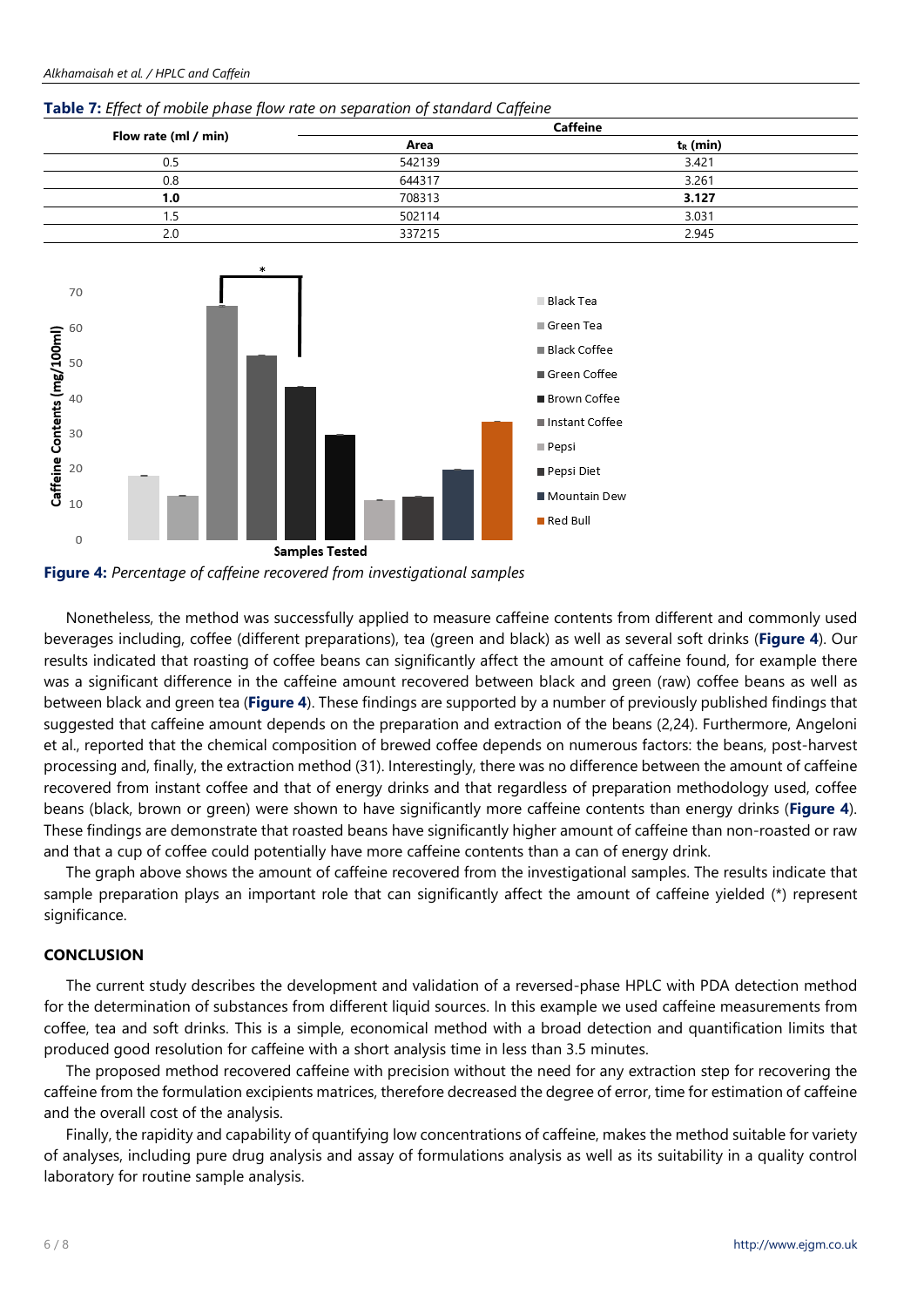| Flow rate (ml / min) |        | <b>Caffeine</b> |  |
|----------------------|--------|-----------------|--|
|                      | Area   | $t_R$ (min)     |  |
| 0.5                  | 542139 | 3.421           |  |
| 0.8                  | 644317 | 3.261           |  |
| .0                   | 708313 | 3.127           |  |
|                      | 502114 | 3.031           |  |
| 2.0                  | 337215 | 2.945           |  |

#### **Table 7:** *Effect of mobile phase flow rate on separation of standard Caffeine*



**Figure 4:** *Percentage of caffeine recovered from investigational samples*

Nonetheless, the method was successfully applied to measure caffeine contents from different and commonly used beverages including, coffee (different preparations), tea (green and black) as well as several soft drinks (**Figure 4**). Our results indicated that roasting of coffee beans can significantly affect the amount of caffeine found, for example there was a significant difference in the caffeine amount recovered between black and green (raw) coffee beans as well as between black and green tea (**Figure 4**). These findings are supported by a number of previously published findings that suggested that caffeine amount depends on the preparation and extraction of the beans (2,24). Furthermore, Angeloni et al., reported that the chemical composition of brewed coffee depends on numerous factors: the beans, post-harvest processing and, finally, the extraction method (31). Interestingly, there was no difference between the amount of caffeine recovered from instant coffee and that of energy drinks and that regardless of preparation methodology used, coffee beans (black, brown or green) were shown to have significantly more caffeine contents than energy drinks (**Figure 4**). These findings are demonstrate that roasted beans have significantly higher amount of caffeine than non-roasted or raw and that a cup of coffee could potentially have more caffeine contents than a can of energy drink.

The graph above shows the amount of caffeine recovered from the investigational samples. The results indicate that sample preparation plays an important role that can significantly affect the amount of caffeine yielded (\*) represent significance.

## **CONCLUSION**

The current study describes the development and validation of a reversed-phase HPLC with PDA detection method for the determination of substances from different liquid sources. In this example we used caffeine measurements from coffee, tea and soft drinks. This is a simple, economical method with a broad detection and quantification limits that produced good resolution for caffeine with a short analysis time in less than 3.5 minutes.

The proposed method recovered caffeine with precision without the need for any extraction step for recovering the caffeine from the formulation excipients matrices, therefore decreased the degree of error, time for estimation of caffeine and the overall cost of the analysis.

Finally, the rapidity and capability of quantifying low concentrations of caffeine, makes the method suitable for variety of analyses, including pure drug analysis and assay of formulations analysis as well as its suitability in a quality control laboratory for routine sample analysis.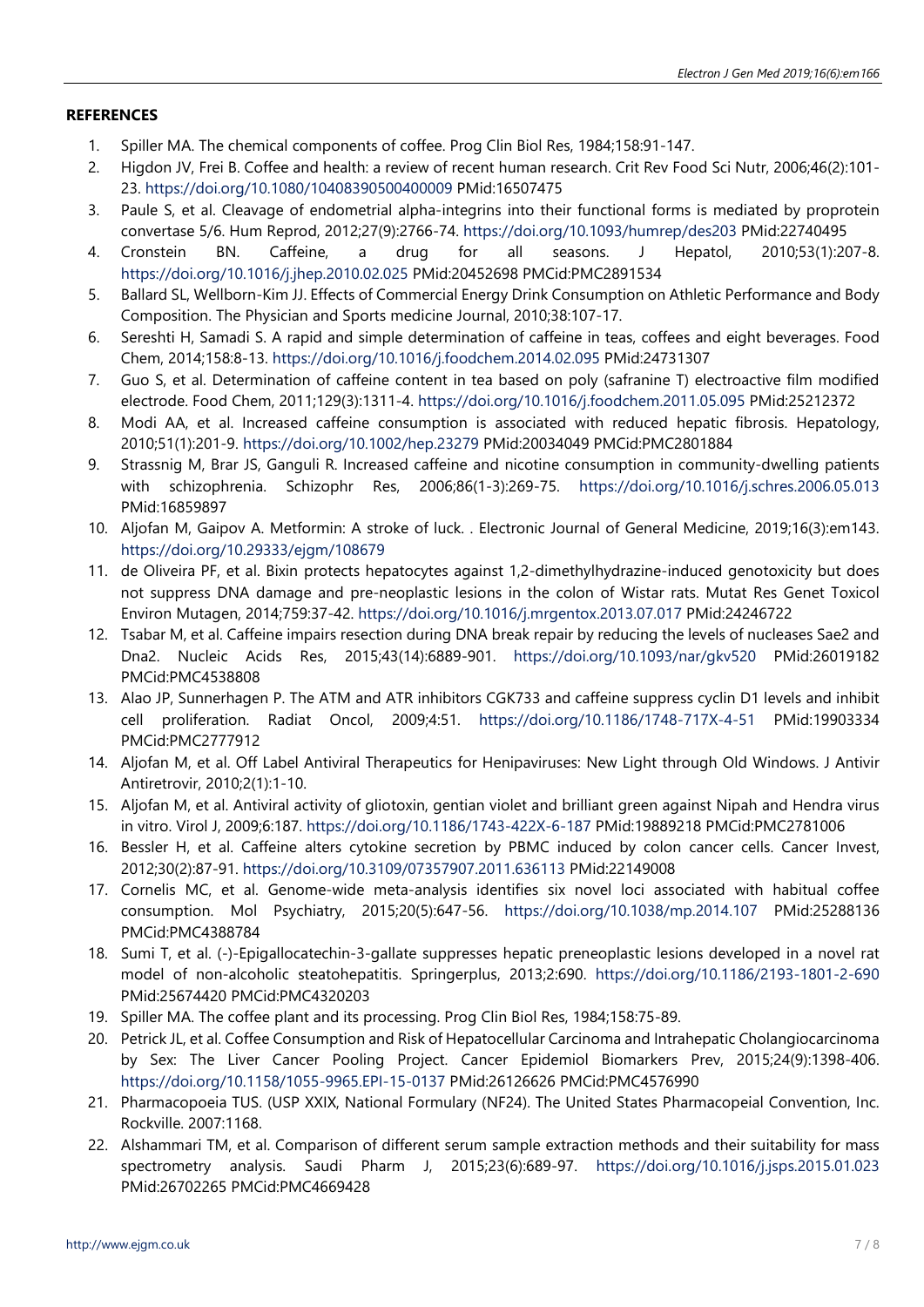# **REFERENCES**

- 1. Spiller MA. The chemical components of coffee. Prog Clin Biol Res, 1984;158:91-147.
- 2. Higdon JV, Frei B. Coffee and health: a review of recent human research. Crit Rev Food Sci Nutr, 2006;46(2):101- 23. <https://doi.org/10.1080/10408390500400009> PMid:16507475
- 3. Paule S, et al. Cleavage of endometrial alpha-integrins into their functional forms is mediated by proprotein convertase 5/6. Hum Reprod, 2012;27(9):2766-74. <https://doi.org/10.1093/humrep/des203> PMid:22740495
- 4. Cronstein BN. Caffeine, a drug for all seasons. J Hepatol, 2010;53(1):207-8. <https://doi.org/10.1016/j.jhep.2010.02.025> PMid:20452698 PMCid:PMC2891534
- 5. Ballard SL, Wellborn-Kim JJ. Effects of Commercial Energy Drink Consumption on Athletic Performance and Body Composition. The Physician and Sports medicine Journal, 2010;38:107-17.
- 6. Sereshti H, Samadi S. A rapid and simple determination of caffeine in teas, coffees and eight beverages. Food Chem, 2014;158:8-13. <https://doi.org/10.1016/j.foodchem.2014.02.095> PMid:24731307
- 7. Guo S, et al. Determination of caffeine content in tea based on poly (safranine T) electroactive film modified electrode. Food Chem, 2011;129(3):1311-4. <https://doi.org/10.1016/j.foodchem.2011.05.095> PMid:25212372
- 8. Modi AA, et al. Increased caffeine consumption is associated with reduced hepatic fibrosis. Hepatology, 2010;51(1):201-9. <https://doi.org/10.1002/hep.23279> PMid:20034049 PMCid:PMC2801884
- 9. Strassnig M, Brar JS, Ganguli R. Increased caffeine and nicotine consumption in community-dwelling patients with schizophrenia. Schizophr Res, 2006;86(1-3):269-75. <https://doi.org/10.1016/j.schres.2006.05.013> PMid:16859897
- 10. Aljofan M, Gaipov A. Metformin: A stroke of luck. . Electronic Journal of General Medicine, 2019;16(3):em143. <https://doi.org/10.29333/ejgm/108679>
- 11. de Oliveira PF, et al. Bixin protects hepatocytes against 1,2-dimethylhydrazine-induced genotoxicity but does not suppress DNA damage and pre-neoplastic lesions in the colon of Wistar rats. Mutat Res Genet Toxicol Environ Mutagen, 2014;759:37-42. <https://doi.org/10.1016/j.mrgentox.2013.07.017> PMid:24246722
- 12. Tsabar M, et al. Caffeine impairs resection during DNA break repair by reducing the levels of nucleases Sae2 and Dna2. Nucleic Acids Res, 2015;43(14):6889-901. <https://doi.org/10.1093/nar/gkv520> PMid:26019182 PMCid:PMC4538808
- 13. Alao JP, Sunnerhagen P. The ATM and ATR inhibitors CGK733 and caffeine suppress cyclin D1 levels and inhibit cell proliferation. Radiat Oncol, 2009;4:51. <https://doi.org/10.1186/1748-717X-4-51> PMid:19903334 PMCid:PMC2777912
- 14. Aljofan M, et al. Off Label Antiviral Therapeutics for Henipaviruses: New Light through Old Windows. J Antivir Antiretrovir, 2010;2(1):1-10.
- 15. Aljofan M, et al. Antiviral activity of gliotoxin, gentian violet and brilliant green against Nipah and Hendra virus in vitro. Virol J, 2009;6:187. <https://doi.org/10.1186/1743-422X-6-187> PMid:19889218 PMCid:PMC2781006
- 16. Bessler H, et al. Caffeine alters cytokine secretion by PBMC induced by colon cancer cells. Cancer Invest, 2012;30(2):87-91. <https://doi.org/10.3109/07357907.2011.636113> PMid:22149008
- 17. Cornelis MC, et al. Genome-wide meta-analysis identifies six novel loci associated with habitual coffee consumption. Mol Psychiatry, 2015;20(5):647-56. <https://doi.org/10.1038/mp.2014.107> PMid:25288136 PMCid:PMC4388784
- 18. Sumi T, et al. (-)-Epigallocatechin-3-gallate suppresses hepatic preneoplastic lesions developed in a novel rat model of non-alcoholic steatohepatitis. Springerplus, 2013;2:690. <https://doi.org/10.1186/2193-1801-2-690> PMid:25674420 PMCid:PMC4320203
- 19. Spiller MA. The coffee plant and its processing. Prog Clin Biol Res, 1984;158:75-89.
- 20. Petrick JL, et al. Coffee Consumption and Risk of Hepatocellular Carcinoma and Intrahepatic Cholangiocarcinoma by Sex: The Liver Cancer Pooling Project. Cancer Epidemiol Biomarkers Prev, 2015;24(9):1398-406. <https://doi.org/10.1158/1055-9965.EPI-15-0137> PMid:26126626 PMCid:PMC4576990
- 21. Pharmacopoeia TUS. (USP XXIX, National Formulary (NF24). The United States Pharmacopeial Convention, Inc. Rockville. 2007:1168.
- 22. Alshammari TM, et al. Comparison of different serum sample extraction methods and their suitability for mass spectrometry analysis. Saudi Pharm J, 2015;23(6):689-97. <https://doi.org/10.1016/j.jsps.2015.01.023> PMid:26702265 PMCid:PMC4669428